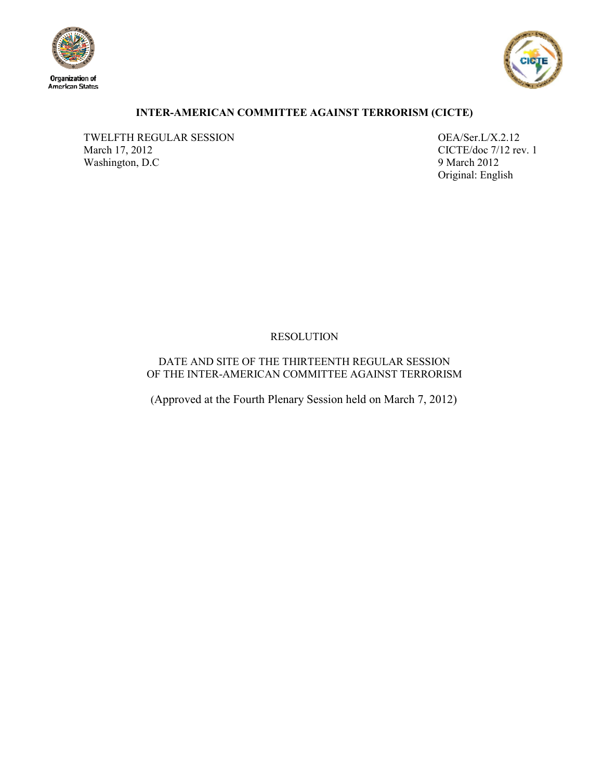



# **INTER-AMERICAN COMMITTEE AGAINST TERRORISM (CICTE)**

TWELFTH REGULAR SESSION OEA/Ser.L/X.2.12<br>March 17, 2012 CICTE/doc 7/12 re Washington, D.C

CICTE/doc 7/12 rev. 1<br>9 March 2012 Original: English

# RESOLUTION

DATE AND SITE OF THE THIRTEENTH REGULAR SESSION OF THE INTER-AMERICAN COMMITTEE AGAINST TERRORISM

(Approved at the Fourth Plenary Session held on March 7, 2012)